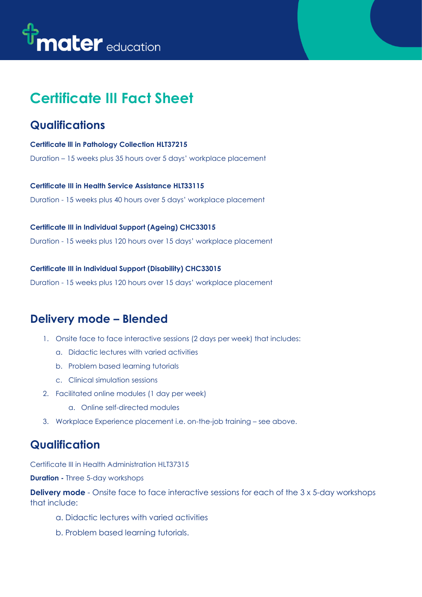# the mater education

## **Certificate III Fact Sheet**

#### **Qualifications**

**Certificate lll in Pathology Collection HLT37215** Duration – 15 weeks plus 35 hours over 5 days' workplace placement

**Certificate III in Health Service Assistance HLT33115** Duration - 15 weeks plus 40 hours over 5 days' workplace placement

#### **Certificate III in Individual Support (Ageing) CHC33015**

Duration - 15 weeks plus 120 hours over 15 days' workplace placement

**Certificate III in Individual Support (Disability) CHC33015**

Duration - 15 weeks plus 120 hours over 15 days' workplace placement

### **Delivery mode – Blended**

- 1. Onsite face to face interactive sessions (2 days per week) that includes:
	- a. Didactic lectures with varied activities
	- b. Problem based learning tutorials
	- c. Clinical simulation sessions
- 2. Facilitated online modules (1 day per week)
	- a. Online self-directed modules
- 3. Workplace Experience placement i.e. on-the-job training see above.

#### **Qualification**

Certificate III in Health Administration HLT37315

**Duration -** Three 5-day workshops

**Delivery mode** - Onsite face to face interactive sessions for each of the 3 x 5-day workshops that include:

- a. Didactic lectures with varied activities
- b. Problem based learning tutorials.